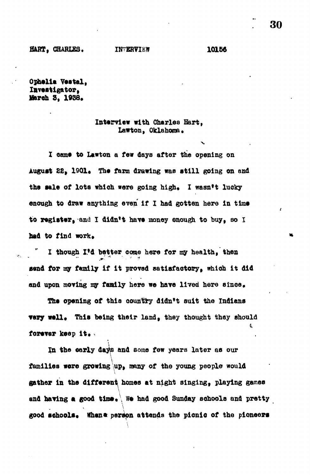**Ophelia Vestal, X&vtstigator, Ifareh 3, 1938.**

## **Interview with Cherlea Bart, Lawton, Oklahoma.**

**I came to Lawton a few days after the opening on** August 22, 1901. The farm drawing was still going on and the sale of lots which were going high. I wasn't lucky **enough to draw anything even if I had gotten here in time to register9-and I didn't have money enough to buy, so I** had to find work.

**I though I'd better come here for my health, then** send for my family if it proved satisfactory, which it did and upon moving my family here we have lived here since.

**The opening of this country didn't suit the Indians very well.** This being their land, they thought they should i forever keep it.

i

**In the early dajte and some few years later as our families were growing up, many of the young people would gather in the different homes at night singing, playing games and having a good time\* We had good Sunday schools and pretty** good schools. When a person attends the picnic of the pioneers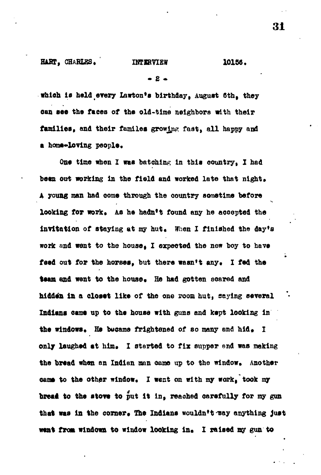## **• S -**

**which is held.every Lawton\*s birthday, August 6th, they can see the faces of the old-time neighbors with their** families, and their familes growing fast, all happy and a home-loving people.

**One time when I waa batching in this country, I had** been out working in the field and worked late that night. A young man had come through the country sometime before looking for work. As he hadn't found any he accepted the invitation of staying at my hut. When I finished the day's **work and vent to the house, I expected the new boy to have** feed out for the horses, but there wasn't any. I fed the **team and went to the house. He had gotten soared and hidden in a closet like of the one room hut, saying several Indians cams up to the house with guns and kept looking in** the windows. He busame frightened of so many and hid. I only laughed at him. I started to fix supper end was making the bread when an Indian man came up to the window. Another cams to the other window. I went on with my work, took my bread to the stove to put it in, reached carefully for my gun that was in the corner. The Indians wouldn't may anything just went from windown to window looking in. I raised my gun to